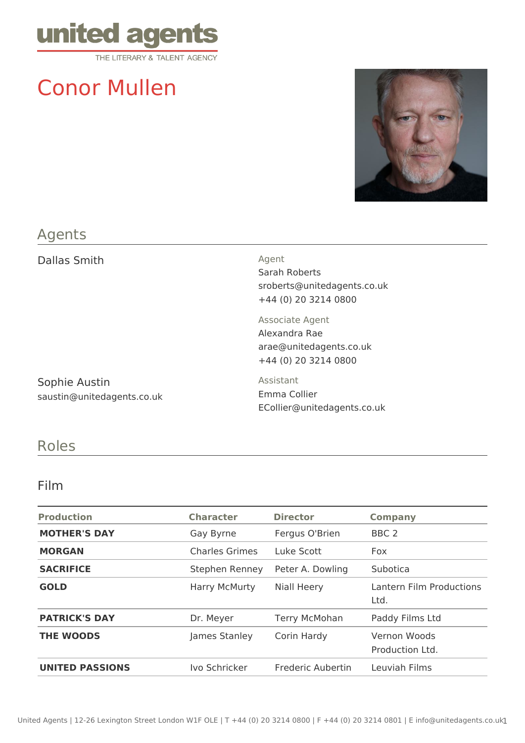

# Conor Mullen



## Agents

Dallas Smith Agent

Sarah Roberts sroberts@unitedagents.co.uk +44 (0) 20 3214 0800

Associate Agent Alexandra Rae arae@unitedagents.co.uk +44 (0) 20 3214 0800

Sophie Austin saustin@unitedagents.co.uk Assistant Emma Collier ECollier@unitedagents.co.uk

## Roles

#### Film

| <b>Production</b>      | <b>Character</b>      | <b>Director</b>      | <b>Company</b>                   |
|------------------------|-----------------------|----------------------|----------------------------------|
| <b>MOTHER'S DAY</b>    | Gay Byrne             | Fergus O'Brien       | BBC <sub>2</sub>                 |
| <b>MORGAN</b>          | <b>Charles Grimes</b> | Luke Scott           | Fox                              |
| <b>SACRIFICE</b>       | Stephen Renney        | Peter A. Dowling     | Subotica                         |
| <b>GOLD</b>            | <b>Harry McMurty</b>  | <b>Niall Heery</b>   | Lantern Film Productions<br>Ltd. |
| <b>PATRICK'S DAY</b>   | Dr. Meyer             | <b>Terry McMohan</b> | Paddy Films Ltd                  |
| <b>THE WOODS</b>       | James Stanley         | Corin Hardy          | Vernon Woods<br>Production Ltd.  |
| <b>UNITED PASSIONS</b> | Ivo Schricker         | Frederic Aubertin    | Leuviah Films                    |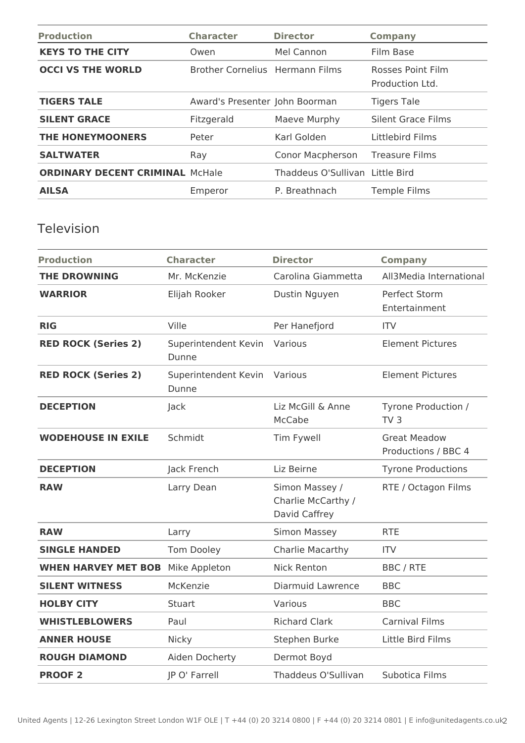| <b>Production</b>                      | <b>Character</b>                       | <b>Director</b>                 | <b>Company</b>                       |
|----------------------------------------|----------------------------------------|---------------------------------|--------------------------------------|
| <b>KEYS TO THE CITY</b>                | Owen                                   | Mel Cannon                      | Film Base                            |
| <b>OCCI VS THE WORLD</b>               | <b>Brother Cornelius Hermann Films</b> |                                 | Rosses Point Film<br>Production Ltd. |
| <b>TIGERS TALE</b>                     | Award's Presenter John Boorman         |                                 | <b>Tigers Tale</b>                   |
| <b>SILENT GRACE</b>                    | Fitzgerald                             | Maeve Murphy                    | Silent Grace Films                   |
| <b>THE HONEYMOONERS</b>                | Peter                                  | Karl Golden                     | Littlebird Films                     |
| <b>SALTWATER</b>                       | Ray                                    | Conor Macpherson                | <b>Treasure Films</b>                |
| <b>ORDINARY DECENT CRIMINAL McHale</b> |                                        | Thaddeus O'Sullivan Little Bird |                                      |
| <b>AILSA</b>                           | Emperor                                | P. Breathnach                   | <b>Temple Films</b>                  |

#### Television

| <b>Production</b>          | <b>Character</b>              | <b>Director</b>                                       | <b>Company</b>                             |
|----------------------------|-------------------------------|-------------------------------------------------------|--------------------------------------------|
| <b>THE DROWNING</b>        | Mr. McKenzie                  | Carolina Giammetta                                    | All3Media International                    |
| <b>WARRIOR</b>             | Elijah Rooker                 | Dustin Nguyen                                         | Perfect Storm<br>Entertainment             |
| <b>RIG</b>                 | Ville                         | Per Hanefjord                                         | <b>ITV</b>                                 |
| <b>RED ROCK (Series 2)</b> | Superintendent Kevin<br>Dunne | Various                                               | <b>Element Pictures</b>                    |
| <b>RED ROCK (Series 2)</b> | Superintendent Kevin<br>Dunne | Various                                               | <b>Element Pictures</b>                    |
| <b>DECEPTION</b>           | Jack                          | Liz McGill & Anne<br>McCabe                           | Tyrone Production /<br>TV <sub>3</sub>     |
| <b>WODEHOUSE IN EXILE</b>  | Schmidt                       | Tim Fywell                                            | <b>Great Meadow</b><br>Productions / BBC 4 |
| <b>DECEPTION</b>           | Jack French                   | Liz Beirne                                            | <b>Tyrone Productions</b>                  |
| <b>RAW</b>                 | Larry Dean                    | Simon Massey /<br>Charlie McCarthy /<br>David Caffrey | RTE / Octagon Films                        |
| <b>RAW</b>                 | Larry                         | <b>Simon Massey</b>                                   | <b>RTE</b>                                 |
| <b>SINGLE HANDED</b>       | Tom Dooley                    | Charlie Macarthy                                      | <b>ITV</b>                                 |
| <b>WHEN HARVEY MET BOB</b> | Mike Appleton                 | <b>Nick Renton</b>                                    | <b>BBC/RTE</b>                             |
| <b>SILENT WITNESS</b>      | McKenzie                      | Diarmuid Lawrence                                     | <b>BBC</b>                                 |
| <b>HOLBY CITY</b>          | Stuart                        | Various                                               | <b>BBC</b>                                 |
| <b>WHISTLEBLOWERS</b>      | Paul                          | <b>Richard Clark</b>                                  | <b>Carnival Films</b>                      |
| <b>ANNER HOUSE</b>         | <b>Nicky</b>                  | Stephen Burke                                         | Little Bird Films                          |
| <b>ROUGH DIAMOND</b>       | Aiden Docherty                | Dermot Boyd                                           |                                            |
| <b>PROOF 2</b>             | JP O' Farrell                 | Thaddeus O'Sullivan                                   | Subotica Films                             |